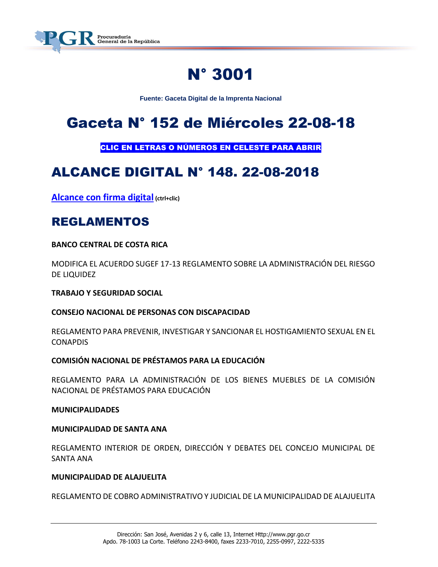

# N° 3001

**Fuente: Gaceta Digital de la Imprenta Nacional**

# Gaceta N° 152 de Miércoles 22-08-18

CLIC EN LETRAS O NÚMEROS EN CELESTE PARA ABRIR

# ALCANCE DIGITAL N° 148. 22-08-2018

**[Alcance con firma digital](https://www.imprentanacional.go.cr/pub/2018/08/22/ALCA148_22_08_2018.pdf) (ctrl+clic)**

### REGLAMENTOS

**BANCO CENTRAL DE COSTA RICA**

MODIFICA EL ACUERDO SUGEF 17-13 REGLAMENTO SOBRE LA ADMINISTRACIÓN DEL RIESGO DE LIQUIDEZ

**TRABAJO Y SEGURIDAD SOCIAL** 

**CONSEJO NACIONAL DE PERSONAS CON DISCAPACIDAD**

REGLAMENTO PARA PREVENIR, INVESTIGAR Y SANCIONAR EL HOSTIGAMIENTO SEXUAL EN EL CONAPDIS

#### **COMISIÓN NACIONAL DE PRÉSTAMOS PARA LA EDUCACIÓN**

REGLAMENTO PARA LA ADMINISTRACIÓN DE LOS BIENES MUEBLES DE LA COMISIÓN NACIONAL DE PRÉSTAMOS PARA EDUCACIÓN

#### **MUNICIPALIDADES**

#### **MUNICIPALIDAD DE SANTA ANA**

REGLAMENTO INTERIOR DE ORDEN, DIRECCIÓN Y DEBATES DEL CONCEJO MUNICIPAL DE SANTA ANA

#### **MUNICIPALIDAD DE ALAJUELITA**

REGLAMENTO DE COBRO ADMINISTRATIVO Y JUDICIAL DE LA MUNICIPALIDAD DE ALAJUELITA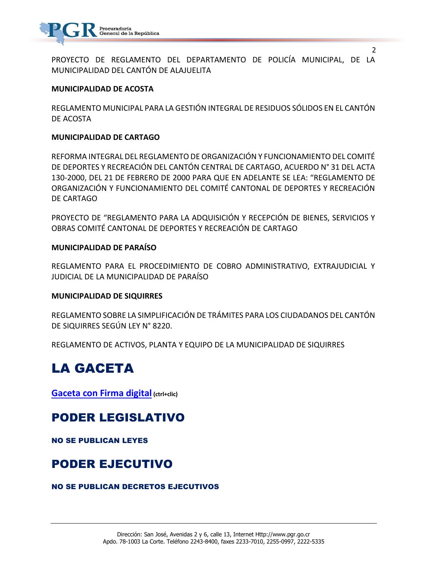

PROYECTO DE REGLAMENTO DEL DEPARTAMENTO DE POLICÍA MUNICIPAL, DE LA MUNICIPALIDAD DEL CANTÓN DE ALAJUELITA

2

#### **MUNICIPALIDAD DE ACOSTA**

REGLAMENTO MUNICIPAL PARA LA GESTIÓN INTEGRAL DE RESIDUOS SÓLIDOS EN EL CANTÓN DE ACOSTA

#### **MUNICIPALIDAD DE CARTAGO**

REFORMA INTEGRAL DEL REGLAMENTO DE ORGANIZACIÓN Y FUNCIONAMIENTO DEL COMITÉ DE DEPORTES Y RECREACIÓN DEL CANTÓN CENTRAL DE CARTAGO, ACUERDO N° 31 DEL ACTA 130-2000, DEL 21 DE FEBRERO DE 2000 PARA QUE EN ADELANTE SE LEA: "REGLAMENTO DE ORGANIZACIÓN Y FUNCIONAMIENTO DEL COMITÉ CANTONAL DE DEPORTES Y RECREACIÓN DE CARTAGO

PROYECTO DE "REGLAMENTO PARA LA ADQUISICIÓN Y RECEPCIÓN DE BIENES, SERVICIOS Y OBRAS COMITÉ CANTONAL DE DEPORTES Y RECREACIÓN DE CARTAGO

#### **MUNICIPALIDAD DE PARAÍSO**

REGLAMENTO PARA EL PROCEDIMIENTO DE COBRO ADMINISTRATIVO, EXTRAJUDICIAL Y JUDICIAL DE LA MUNICIPALIDAD DE PARAÍSO

#### **MUNICIPALIDAD DE SIQUIRRES**

REGLAMENTO SOBRE LA SIMPLIFICACIÓN DE TRÁMITES PARA LOS CIUDADANOS DEL CANTÓN DE SIQUIRRES SEGÚN LEY N° 8220.

REGLAMENTO DE ACTIVOS, PLANTA Y EQUIPO DE LA MUNICIPALIDAD DE SIQUIRRES

# LA GACETA

**[Gaceta con Firma digital](https://www.imprentanacional.go.cr/pub/2018/08/22/COMP_22_08_2018.pdf) (ctrl+clic)**

### PODER LEGISLATIVO

NO SE PUBLICAN LEYES

### PODER EJECUTIVO

#### NO SE PUBLICAN DECRETOS EJECUTIVOS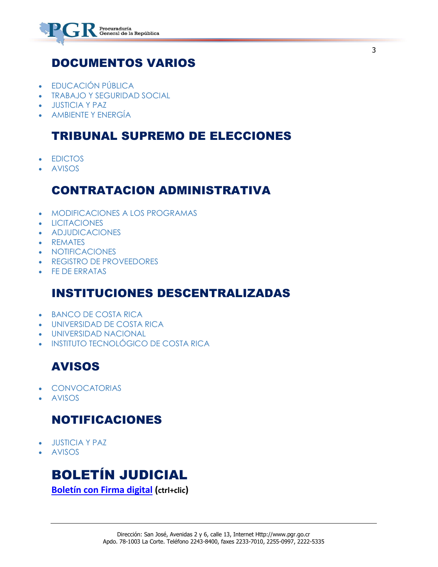

### DOCUMENTOS VARIOS

- FDUCACIÓN PÚBLICA
- [TRABAJO Y SEGURIDAD SOCIAL](https://www.imprentanacional.go.cr/gaceta/#trabajo-y-seguridad-social)
- [JUSTICIA Y PAZ](https://www.imprentanacional.go.cr/gaceta/#justicia-y-paz)
- [AMBIENTE Y ENERGÍA](https://www.imprentanacional.go.cr/gaceta/#ambiente-y-energa)

### TRIBUNAL SUPREMO DE ELECCIONES

- **• [EDICTOS](https://www.imprentanacional.go.cr/gaceta/#edictos)**
- [AVISOS](https://www.imprentanacional.go.cr/gaceta/#avisos)

### CONTRATACION ADMINISTRATIVA

- [MODIFICACIONES A LOS PROGRAMAS](https://www.imprentanacional.go.cr/gaceta/#modificaciones-a-los-programas)
- **•** [LICITACIONES](https://www.imprentanacional.go.cr/gaceta/#licitaciones)
- [ADJUDICACIONES](https://www.imprentanacional.go.cr/gaceta/#adjudicaciones)
- [REMATES](https://www.imprentanacional.go.cr/gaceta/#remates)
- **[NOTIFICACIONES](https://www.imprentanacional.go.cr/gaceta/#notificaciones)**
- [REGISTRO DE PROVEEDORES](https://www.imprentanacional.go.cr/gaceta/#registro-de-proveedores)
- [FE DE ERRATAS](https://www.imprentanacional.go.cr/gaceta/#fe-de-erratas)

### INSTITUCIONES DESCENTRALIZADAS

- **[BANCO DE COSTA RICA](https://www.imprentanacional.go.cr/gaceta/#banco-de-costa-rica)**
- [UNIVERSIDAD DE COSTA RICA](https://www.imprentanacional.go.cr/gaceta/#universidad-de-costa-rica)
- [UNIVERSIDAD NACIONAL](https://www.imprentanacional.go.cr/gaceta/#universidad-nacional)
- [INSTITUTO TECNOLÓGICO DE COSTA RICA](https://www.imprentanacional.go.cr/gaceta/#instituto-tecnolgico-de-costarica)

### AVISOS

- [CONVOCATORIAS](https://www.imprentanacional.go.cr/gaceta/#convocatorias)
- [AVISOS](https://www.imprentanacional.go.cr/gaceta/#avisos)

### NOTIFICACIONES

- [JUSTICIA Y PAZ](https://www.imprentanacional.go.cr/gaceta/#justicia-y-paz)
- [AVISOS](https://www.imprentanacional.go.cr/gaceta/#avisos)

## BOLETÍN JUDICIAL

**[Boletín con Firma digital](https://www.imprentanacional.go.cr/pub-boletin/2018/08/bol_22_08_2018.pdf) (ctrl+clic)**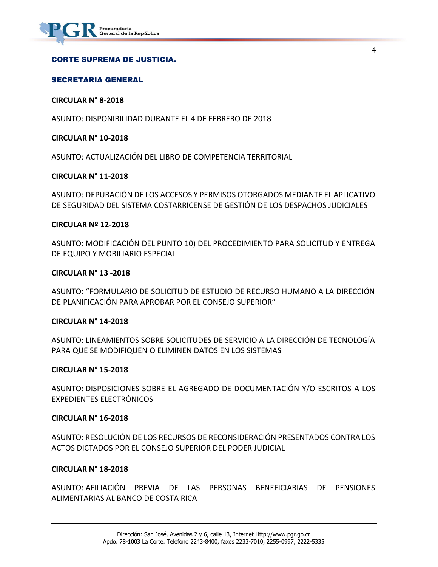#### CORTE SUPREMA DE JUSTICIA.

#### SECRETARIA GENERAL

#### **CIRCULAR N° 8-2018**

ASUNTO: DISPONIBILIDAD DURANTE EL 4 DE FEBRERO DE 2018

#### **CIRCULAR N° 10-2018**

ASUNTO: ACTUALIZACIÓN DEL LIBRO DE COMPETENCIA TERRITORIAL

#### **CIRCULAR N° 11-2018**

ASUNTO: DEPURACIÓN DE LOS ACCESOS Y PERMISOS OTORGADOS MEDIANTE EL APLICATIVO DE SEGURIDAD DEL SISTEMA COSTARRICENSE DE GESTIÓN DE LOS DESPACHOS JUDICIALES

4

#### **CIRCULAR Nº 12-2018**

ASUNTO: MODIFICACIÓN DEL PUNTO 10) DEL PROCEDIMIENTO PARA SOLICITUD Y ENTREGA DE EQUIPO Y MOBILIARIO ESPECIAL

#### **CIRCULAR N° 13 -2018**

ASUNTO: "FORMULARIO DE SOLICITUD DE ESTUDIO DE RECURSO HUMANO A LA DIRECCIÓN DE PLANIFICACIÓN PARA APROBAR POR EL CONSEJO SUPERIOR"

#### **CIRCULAR N° 14-2018**

ASUNTO: LINEAMIENTOS SOBRE SOLICITUDES DE SERVICIO A LA DIRECCIÓN DE TECNOLOGÍA PARA QUE SE MODIFIQUEN O ELIMINEN DATOS EN LOS SISTEMAS

#### **CIRCULAR N° 15-2018**

ASUNTO: DISPOSICIONES SOBRE EL AGREGADO DE DOCUMENTACIÓN Y/O ESCRITOS A LOS EXPEDIENTES ELECTRÓNICOS

#### **CIRCULAR N° 16-2018**

ASUNTO: RESOLUCIÓN DE LOS RECURSOS DE RECONSIDERACIÓN PRESENTADOS CONTRA LOS ACTOS DICTADOS POR EL CONSEJO SUPERIOR DEL PODER JUDICIAL

#### **CIRCULAR N° 18-2018**

ASUNTO: AFILIACIÓN PREVIA DE LAS PERSONAS BENEFICIARIAS DE PENSIONES ALIMENTARIAS AL BANCO DE COSTA RICA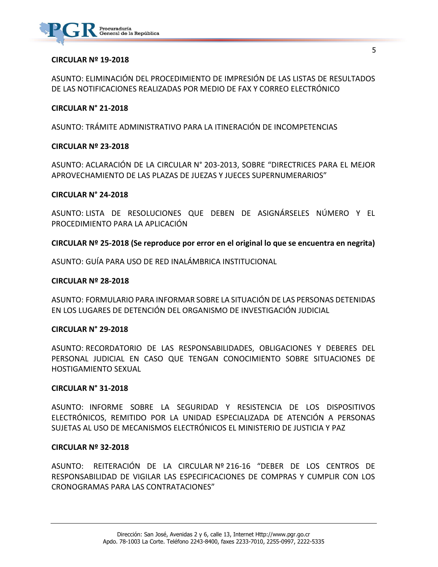

#### **CIRCULAR Nº 19-2018**

ASUNTO: ELIMINACIÓN DEL PROCEDIMIENTO DE IMPRESIÓN DE LAS LISTAS DE RESULTADOS DE LAS NOTIFICACIONES REALIZADAS POR MEDIO DE FAX Y CORREO ELECTRÓNICO

#### **CIRCULAR N° 21-2018**

ASUNTO: TRÁMITE ADMINISTRATIVO PARA LA ITINERACIÓN DE INCOMPETENCIAS

#### **CIRCULAR Nº 23-2018**

ASUNTO: ACLARACIÓN DE LA CIRCULAR N° 203-2013, SOBRE "DIRECTRICES PARA EL MEJOR APROVECHAMIENTO DE LAS PLAZAS DE JUEZAS Y JUECES SUPERNUMERARIOS"

#### **CIRCULAR N° 24-2018**

ASUNTO: LISTA DE RESOLUCIONES QUE DEBEN DE ASIGNÁRSELES NÚMERO Y EL PROCEDIMIENTO PARA LA APLICACIÓN

#### **CIRCULAR Nº 25-2018 (Se reproduce por error en el original lo que se encuentra en negrita)**

ASUNTO: GUÍA PARA USO DE RED INALÁMBRICA INSTITUCIONAL

#### **CIRCULAR Nº 28-2018**

ASUNTO: FORMULARIO PARA INFORMAR SOBRE LA SITUACIÓN DE LAS PERSONAS DETENIDAS EN LOS LUGARES DE DETENCIÓN DEL ORGANISMO DE INVESTIGACIÓN JUDICIAL

#### **CIRCULAR N° 29-2018**

ASUNTO: RECORDATORIO DE LAS RESPONSABILIDADES, OBLIGACIONES Y DEBERES DEL PERSONAL JUDICIAL EN CASO QUE TENGAN CONOCIMIENTO SOBRE SITUACIONES DE HOSTIGAMIENTO SEXUAL

#### **CIRCULAR N° 31-2018**

ASUNTO: INFORME SOBRE LA SEGURIDAD Y RESISTENCIA DE LOS DISPOSITIVOS ELECTRÓNICOS, REMITIDO POR LA UNIDAD ESPECIALIZADA DE ATENCIÓN A PERSONAS SUJETAS AL USO DE MECANISMOS ELECTRÓNICOS EL MINISTERIO DE JUSTICIA Y PAZ

#### **CIRCULAR Nº 32-2018**

ASUNTO: REITERACIÓN DE LA CIRCULAR Nº 216-16 "DEBER DE LOS CENTROS DE RESPONSABILIDAD DE VIGILAR LAS ESPECIFICACIONES DE COMPRAS Y CUMPLIR CON LOS CRONOGRAMAS PARA LAS CONTRATACIONES"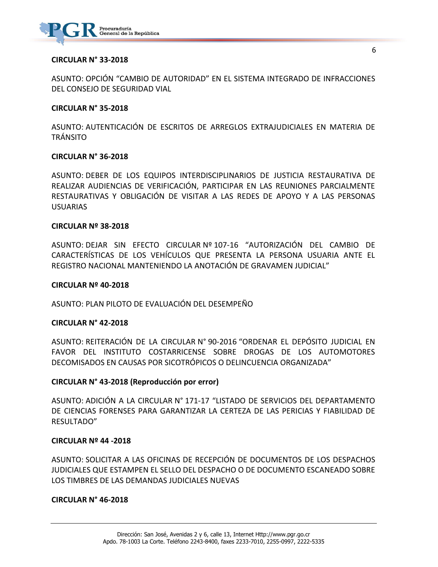

#### **CIRCULAR N° 33-2018**

ASUNTO: OPCIÓN "CAMBIO DE AUTORIDAD" EN EL SISTEMA INTEGRADO DE INFRACCIONES DEL CONSEJO DE SEGURIDAD VIAL

#### **CIRCULAR N° 35-2018**

ASUNTO: AUTENTICACIÓN DE ESCRITOS DE ARREGLOS EXTRAJUDICIALES EN MATERIA DE TRÁNSITO

#### **CIRCULAR N° 36-2018**

ASUNTO: DEBER DE LOS EQUIPOS INTERDISCIPLINARIOS DE JUSTICIA RESTAURATIVA DE REALIZAR AUDIENCIAS DE VERIFICACIÓN, PARTICIPAR EN LAS REUNIONES PARCIALMENTE RESTAURATIVAS Y OBLIGACIÓN DE VISITAR A LAS REDES DE APOYO Y A LAS PERSONAS USUARIAS

#### **CIRCULAR Nº 38-2018**

ASUNTO: DEJAR SIN EFECTO CIRCULAR Nº 107-16 "AUTORIZACIÓN DEL CAMBIO DE CARACTERÍSTICAS DE LOS VEHÍCULOS QUE PRESENTA LA PERSONA USUARIA ANTE EL REGISTRO NACIONAL MANTENIENDO LA ANOTACIÓN DE GRAVAMEN JUDICIAL"

#### **CIRCULAR Nº 40-2018**

ASUNTO: PLAN PILOTO DE EVALUACIÓN DEL DESEMPEÑO

#### **CIRCULAR N° 42-2018**

ASUNTO: REITERACIÓN DE LA CIRCULAR N° 90-2016 "ORDENAR EL DEPÓSITO JUDICIAL EN FAVOR DEL INSTITUTO COSTARRICENSE SOBRE DROGAS DE LOS AUTOMOTORES DECOMISADOS EN CAUSAS POR SICOTRÓPICOS O DELINCUENCIA ORGANIZADA"

#### **CIRCULAR N° 43-2018 (Reproducción por error)**

ASUNTO: ADICIÓN A LA CIRCULAR N° 171-17 "LISTADO DE SERVICIOS DEL DEPARTAMENTO DE CIENCIAS FORENSES PARA GARANTIZAR LA CERTEZA DE LAS PERICIAS Y FIABILIDAD DE RESULTADO"

#### **CIRCULAR Nº 44 -2018**

ASUNTO: SOLICITAR A LAS OFICINAS DE RECEPCIÓN DE DOCUMENTOS DE LOS DESPACHOS JUDICIALES QUE ESTAMPEN EL SELLO DEL DESPACHO O DE DOCUMENTO ESCANEADO SOBRE LOS TIMBRES DE LAS DEMANDAS JUDICIALES NUEVAS

#### **CIRCULAR N° 46-2018**